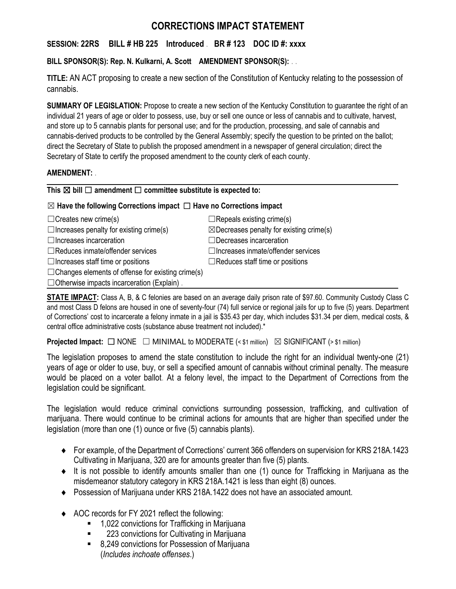# **CORRECTIONS IMPACT STATEMENT**

# **SESSION: 22RS BILL # HB 225 Introduced** . **BR # 123 DOC ID #: xxxx**

# **BILL SPONSOR(S): Rep. N. Kulkarni, A. Scott AMENDMENT SPONSOR(S):** . .

**TITLE:** AN ACT proposing to create a new section of the Constitution of Kentucky relating to the possession of cannabis.

**SUMMARY OF LEGISLATION:** Propose to create a new section of the Kentucky Constitution to guarantee the right of an individual 21 years of age or older to possess, use, buy or sell one ounce or less of cannabis and to cultivate, harvest, and store up to 5 cannabis plants for personal use; and for the production, processing, and sale of cannabis and cannabis-derived products to be controlled by the General Assembly; specify the question to be printed on the ballot; direct the Secretary of State to publish the proposed amendment in a newspaper of general circulation; direct the Secretary of State to certify the proposed amendment to the county clerk of each county.

### **AMENDMENT:** .

### **This** ☒ **bill** ☐ **amendment** ☐ **committee substitute is expected to:**

# ☒ **Have the following Corrections impact** ☐ **Have no Corrections impact**

| $\Box$ Creates new crime(s)                              | $\Box$ Repeals existing crime(s)                    |
|----------------------------------------------------------|-----------------------------------------------------|
| $\Box$ Increases penalty for existing crime(s)           | $\boxtimes$ Decreases penalty for existing crime(s) |
| $\Box$ Increases incarceration                           | $\Box$ Decreases incarceration                      |
| $\Box$ Reduces inmate/offender services                  | $\Box$ Increases inmate/offender services           |
| $\Box$ Increases staff time or positions                 | $\Box$ Reduces staff time or positions              |
| $\Box$ Changes elements of offense for existing crime(s) |                                                     |
| $\Box$ Otherwise impacts incarceration (Explain).        |                                                     |
|                                                          |                                                     |

**STATE IMPACT:** Class A, B, & C felonies are based on an average daily prison rate of \$97.60. Community Custody Class C and most Class D felons are housed in one of seventy-four (74) full service or regional jails for up to five (5) years. Department of Corrections' cost to incarcerate a felony inmate in a jail is \$35.43 per day, which includes \$31.34 per diem, medical costs, & central office administrative costs (substance abuse treatment not included).\*

**Projected Impact:**  $\Box$  NONE  $\Box$  MINIMAL to MODERATE (< \$1 million)  $\boxtimes$  SIGNIFICANT (> \$1 million)

The legislation proposes to amend the state constitution to include the right for an individual twenty-one (21) years of age or older to use, buy, or sell a specified amount of cannabis without criminal penalty. The measure would be placed on a voter ballot. At a felony level, the impact to the Department of Corrections from the legislation could be significant.

The legislation would reduce criminal convictions surrounding possession, trafficking, and cultivation of marijuana. There would continue to be criminal actions for amounts that are higher than specified under the legislation (more than one (1) ounce or five (5) cannabis plants).

- For example, of the Department of Corrections' current 366 offenders on supervision for KRS 218A.1423 Cultivating in Marijuana, 320 are for amounts greater than five (5) plants.
- $\bullet$  It is not possible to identify amounts smaller than one (1) ounce for Trafficking in Marijuana as the misdemeanor statutory category in KRS 218A.1421 is less than eight (8) ounces.
- Possession of Marijuana under KRS 218A.1422 does not have an associated amount.
- ◆ AOC records for FY 2021 reflect the following:
	- 1,022 convictions for Trafficking in Marijuana
	- 223 convictions for Cultivating in Marijuana
	- 8,249 convictions for Possession of Marijuana (*Includes inchoate offenses*.)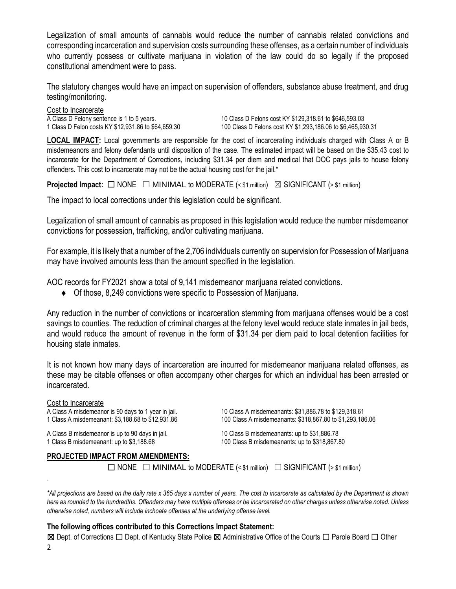Legalization of small amounts of cannabis would reduce the number of cannabis related convictions and corresponding incarceration and supervision costs surrounding these offenses, as a certain number of individuals who currently possess or cultivate marijuana in violation of the law could do so legally if the proposed constitutional amendment were to pass.

The statutory changes would have an impact on supervision of offenders, substance abuse treatment, and drug testing/monitoring.

Cost to Incarcerate<br>A Class D Felony sentence is 1 to 5 years.

10 Class D Felons cost KY \$129,318.61 to \$646,593.03 1 Class D Felon costs KY \$12,931.86 to \$64,659.30 100 Class D Felons cost KY \$1,293,186.06 to \$6,465,930.31

**LOCAL IMPACT:** Local governments are responsible for the cost of incarcerating individuals charged with Class A or B misdemeanors and felony defendants until disposition of the case. The estimated impact will be based on the \$35.43 cost to incarcerate for the Department of Corrections, including \$31.34 per diem and medical that DOC pays jails to house felony offenders. This cost to incarcerate may not be the actual housing cost for the jail.\*

**Projected Impact:**  $\Box$  NONE  $\Box$  MINIMAL to MODERATE (< \$1 million)  $\boxtimes$  SIGNIFICANT (> \$1 million)

The impact to local corrections under this legislation could be significant.

Legalization of small amount of cannabis as proposed in this legislation would reduce the number misdemeanor convictions for possession, trafficking, and/or cultivating marijuana.

For example, it is likely that a number of the 2,706 individuals currently on supervision for Possession of Marijuana may have involved amounts less than the amount specified in the legislation.

AOC records for FY2021 show a total of 9,141 misdemeanor marijuana related convictions.

Of those, 8,249 convictions were specific to Possession of Marijuana.

Any reduction in the number of convictions or incarceration stemming from marijuana offenses would be a cost savings to counties. The reduction of criminal charges at the felony level would reduce state inmates in jail beds, and would reduce the amount of revenue in the form of \$31.34 per diem paid to local detention facilities for housing state inmates.

It is not known how many days of incarceration are incurred for misdemeanor marijuana related offenses, as these may be citable offenses or often accompany other charges for which an individual has been arrested or incarcerated.

#### Cost to Incarcerate

.

A Class B misdemeanor is up to 90 days in jail. 10 Class B misdemeanants: up to \$31,886.78 1 Class B misdemeanant: up to \$3,188.68 100 Class B misdemeanants: up to \$318,867.80

A Class A misdemeanor is 90 days to 1 year in jail. 10 Class A misdemeanants: \$31,886.78 to \$129,318.61 1 Class A misdemeanant: \$3,188.68 to \$12,931.86 100 Class A misdemeanants: \$318,867.80 to \$1,293,186.06

#### **PROJECTED IMPACT FROM AMENDMENTS:**

 $\Box$  NONE  $\Box$  MINIMAL to MODERATE (< \$1 million)  $\Box$  SIGNIFICANT (> \$1 million)

*\*All projections are based on the daily rate x 365 days x number of years. The cost to incarcerate as calculated by the Department is shown here as rounded to the hundredths. Offenders may have multiple offenses or be incarcerated on other charges unless otherwise noted. Unless otherwise noted, numbers will include inchoate offenses at the underlying offense level.*

#### **The following offices contributed to this Corrections Impact Statement:**

2 ☒ Dept. of Corrections ☐ Dept. of Kentucky State Police ☒ Administrative Office of the Courts ☐ Parole Board ☐ Other